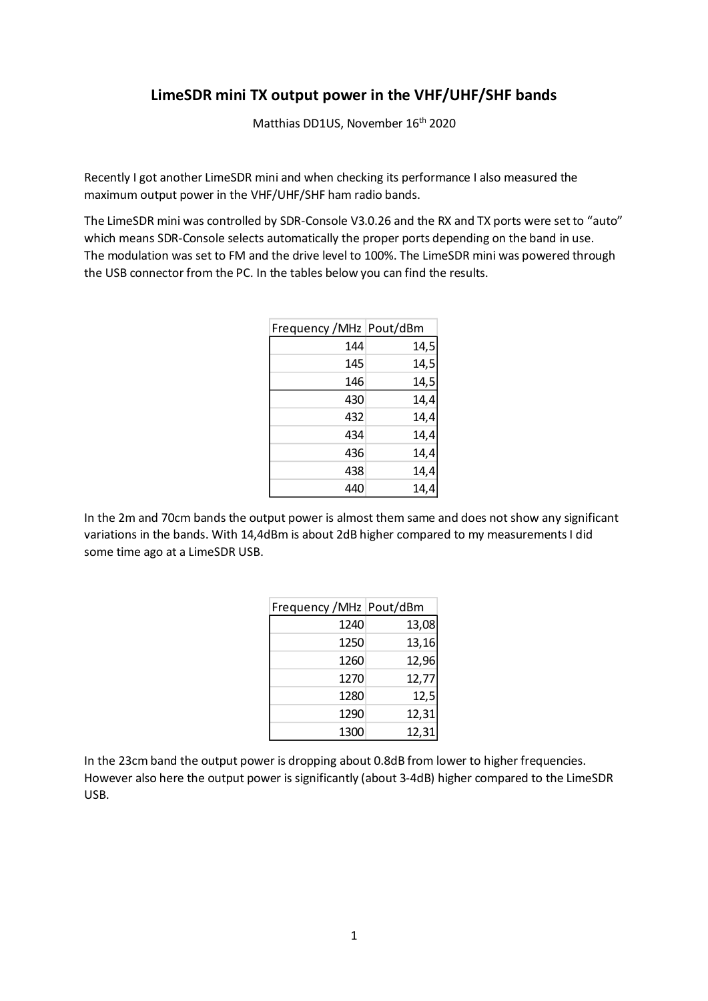## **LimeSDR mini TX output power in the VHF/UHF/SHF bands**

Matthias DD1US, November 16<sup>th</sup> 2020

Recently I got another LimeSDR mini and when checking its performance I also measured the maximum output power in the VHF/UHF/SHF ham radio bands.

The LimeSDR mini was controlled by SDR-Console V3.0.26 and the RX and TX ports were set to "auto" which means SDR-Console selects automatically the proper ports depending on the band in use. The modulation was set to FM and the drive level to 100%. The LimeSDR mini was powered through the USB connector from the PC. In the tables below you can find the results.

| Frequency / MHz   Pout/dBm |      |
|----------------------------|------|
| 144                        | 14,5 |
| 145                        | 14,5 |
| 146                        | 14,5 |
| 430                        | 14,4 |
| 432                        | 14,4 |
| 434                        | 14,4 |
| 436                        | 14,4 |
| 438                        | 14,4 |
| 440                        | 14,4 |

In the 2m and 70cm bands the output power is almost them same and does not show any significant variations in the bands. With 14,4dBm is about 2dB higher compared to my measurements I did some time ago at a LimeSDR USB.

| Frequency / MHz   Pout/dBm |       |
|----------------------------|-------|
| 1240                       | 13,08 |
| 1250                       | 13,16 |
| 1260                       | 12,96 |
| 1270                       | 12,77 |
| 1280                       | 12,5  |
| 1290                       | 12,31 |
| 1300                       | 12,31 |

In the 23cm band the output power is dropping about 0.8dB from lower to higher frequencies. However also here the output power is significantly (about 3-4dB) higher compared to the LimeSDR USB.